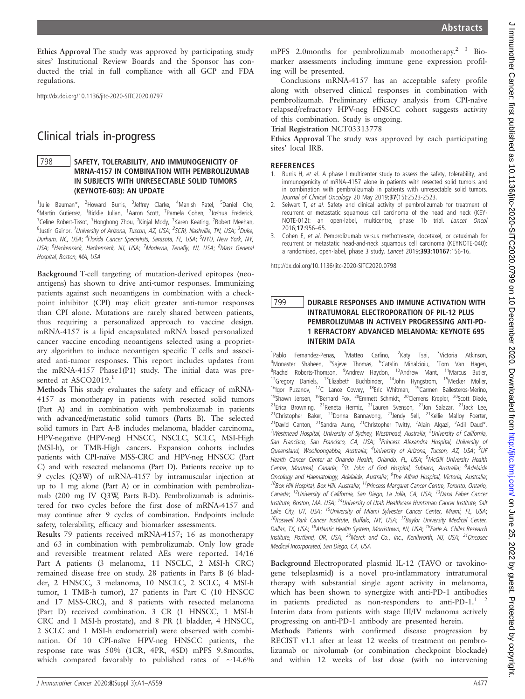Ethics Approval The study was approved by participating study sites' Institutional Review Boards and the Sponsor has conducted the trial in full compliance with all GCP and FDA regulations.

http://dx.doi.org/10.1136/jitc-2020-SITC2020.0797

# Clinical trials in-progress

## 798 SAFETY, TOLERABILITY, AND IMMUNOGENICITY OF MRNA-4157 IN COMBINATION WITH PEMBROLIZUMAB IN SUBJECTS WITH UNRESECTABLE SOLID TUMORS (KEYNOTE-603): AN UPDATE

1<br><sup>1</sup>Julie Bauman\*, <sup>2</sup>Howard Burris, <sup>3</sup>Jeffrey Clarke, <sup>4</sup>Manish Patel, <sup>5</sup>Daniel Cho, <sup>6</sup>Martin Gutierrez, <sup>1</sup>Ricklie Julian, <sup>1</sup>Aaron Scott, <sup>7</sup>Pamela Cohen, <sup>7</sup>Joshua Frederick, <sup>7</sup>Celine Robert-Tissot, <sup>7</sup>Honghong Zhou, <sup>7</sup>Kinjal Mody, <sup>7</sup>Karen Keating, <sup>7</sup>Robert Meehan, <sup>8</sup>Justin Gainor. <sup>1</sup>University of Arizona, Tuscon, AZ, USA; <sup>2</sup>SCRI, Nashville, TN, USA; <sup>3</sup>Duke, Durham, NC, USA; <sup>4</sup>Florida Cancer Specialists, Sarasota, FL, USA; <sup>5</sup>NYU, New York, NY, USA; <sup>6</sup>Hackensack, Hackensack, NJ, USA; <sup>7</sup>Moderna, Tenafly, NJ, USA; <sup>8</sup>Mass General Hospital, Boston, MA, USA

Background T-cell targeting of mutation-derived epitopes (neoantigens) has shown to drive anti-tumor responses. Immunizing patients against such neoantigens in combination with a checkpoint inhibitor (CPI) may elicit greater anti-tumor responses than CPI alone. Mutations are rarely shared between patients, thus requiring a personalized approach to vaccine design. mRNA-4157 is a lipid encapsulated mRNA based personalized cancer vaccine encoding neoantigens selected using a proprietary algorithm to induce neoantigen specific T cells and associated anti-tumor responses. This report includes updates from the mRNA-4157 Phase1(P1) study. The initial data was presented at ASCO2019.<sup>1</sup>

Methods This study evaluates the safety and efficacy of mRNA-4157 as monotherapy in patients with resected solid tumors (Part A) and in combination with pembrolizumab in patients with advanced/metastatic solid tumors (Parts B). The selected solid tumors in Part A-B includes melanoma, bladder carcinoma, HPV-negative (HPV-neg) HNSCC, NSCLC, SCLC, MSI-High (MSI-h), or TMB-High cancers. Expansion cohorts includes patients with CPI-naïve MSS-CRC and HPV-neg HNSCC (Part C) and with resected melanoma (Part D). Patients receive up to 9 cycles (Q3W) of mRNA-4157 by intramuscular injection at up to 1 mg alone (Part A) or in combination with pembrolizumab (200 mg IV Q3W, Parts B-D). Pembrolizumab is administered for two cycles before the first dose of mRNA-4157 and may continue after 9 cycles of combination. Endpoints include safety, tolerability, efficacy and biomarker assessments.

Results 79 patients received mRNA-4157; 16 as monotherapy and 63 in combination with pembrolizumab. Only low grade and reversible treatment related AEs were reported. 14/16 Part A patients (3 melanoma, 11 NSCLC, 2 MSI-h CRC) remained disease free on study. 28 patients in Parts B (6 bladder, 2 HNSCC, 3 melanoma, 10 NSCLC, 2 SCLC, 4 MSI-h tumor, 1 TMB-h tumor), 27 patients in Part C (10 HNSCC and 17 MSS-CRC), and 8 patients with resected melanoma (Part D) received combination. 3 CR (1 HNSCC, 1 MSI-h CRC and 1 MSI-h prostate), and 8 PR (1 bladder, 4 HNSCC, 2 SCLC and 1 MSI-h endometrial) were observed with combination. Of 10 CPI-naïve HPV-neg HNSCC patients, the response rate was 50% (1CR, 4PR, 4SD) mPFS 9.8months, which compared favorably to published rates of  $~14.6\%$ 

mPFS 2.0months for pembrolizumab monotherapy. $2\frac{3}{5}$  Biomarker assessments including immune gene expression profiling will be presented.

Conclusions mRNA-4157 has an acceptable safety profile along with observed clinical responses in combination with pembrolizumab. Preliminary efficacy analysis from CPI-naïve relapsed/refractory HPV-neg HNSCC cohort suggests activity of this combination. Study is ongoing.

Trial Registration NCT03313778

Ethics Approval The study was approved by each participating sites' local IRB.

#### **REFERENCES**

- 1. Burris H, et al. A phase I multicenter study to assess the safety, tolerability, and immunogenicity of mRNA-4157 alone in patients with resected solid tumors and in combination with pembrolizumab in patients with unresectable solid tumors. Journal of Clinical Oncology 20 May 2019;37(15):2523-2523.
- 2. Seiwert T, et al. Safety and clinical activity of pembrolizumab for treatment of recurrent or metastatic squamous cell carcinoma of the head and neck (KEY-NOTE-012): an open-label, multicentre, phase 1b trial. Lancet Oncol 2016;17:956–65.
- 3. Cohen E, et al. Pembrolizumab versus methotrexate, docetaxel, or cetuximab for recurrent or metastatic head-and-neck squamous cell carcinoma (KEYNOTE-040): a randomised, open-label, phase 3 study. Lancet 2019;393:10167:156-16.

http://dx.doi.org/10.1136/jitc-2020-SITC2020.0798

### 799 DURABLE RESPONSES AND IMMUNE ACTIVATION WITH<br>INTRATUMORAL ELECTROPORATION OF PIL-12 PLUS PEMBROLIZUMAB IN ACTIVELY PROGRESSING ANTI-PD-1 REFRACTORY ADVANCED MELANOMA: KEYNOTE 695 **INTERIM DATA**

 $1^1$ Pablo Fernandez-Penas, <sup>1</sup>Matteo Carlino, <sup>2</sup>Katy Tsai, <sup>3</sup> <sup>3</sup>Victoria Atkinson, <sup>4</sup>Monaster Shaheen, <sup>5</sup>Sajeve Thomas, <sup>6</sup>Catalin Mihalcioiu, <sup>7</sup>Tom Van Hagen, <sup>8</sup>Rachel Roberts-Thomson, <sup>9</sup>Andrew Haydon, <sup>10</sup>Andrew Mant, <sup>11</sup>Marcus Butler, <sup>12</sup>Gregory Daniels, <sup>13</sup>Elizabeth Buchbinder, <sup>14</sup>John Hyngstrom, <sup>15</sup>Mecker Moller, <sup>16</sup>Igor Puzanov, <sup>17</sup>C Lance Cowey, <sup>18</sup>Eric Whitman, <sup>19</sup>Carmen Ballesteros-Merino, <sup>19</sup>Shawn Jensen, <sup>19</sup>Bernard Fox, <sup>20</sup>Emmett Schmidt, <sup>20</sup>Clemens Krepler, <sup>20</sup>Scott Diede,  $^{21}$ Erica Browning,  $^{21}$ Reneta Hermiz,  $^{21}$ Lauren Svenson,  $^{21}$ Jon Salazar,  $^{21}$ Jack Lee,  $21$ Christopher Baker,  $21$ Donna Bannavong,  $21$ Jendy Sell,  $21$ Kellie Malloy Foerter,  $^{21}$ David Canton,  $^{21}$ Sandra Aung,  $^{21}$ Christopher Twitty,  $^{2}$ Alain Algazi,  $^{2}$ Adil Daud\*. <sup>1</sup>Westmead Hospital, University of Sydney, Westmead, Australia; <sup>2</sup>University of California, San Francisco, San Francisco, CA, USA; <sup>3</sup>Princess Alexandra Hospital, University of Queensland, Woolloongabba, Australia; <sup>4</sup>University of Arizona, Tucson, AZ, USA; <sup>5</sup>UF Health Cancer Center at Orlando Health, Orlando, FL, USA; <sup>6</sup>McGill University Health Centre, Montreal, Canada; <sup>7</sup>St. John of God Hospital, Subiaco, Australia; <sup>8</sup>Adelaide Oncology and Haematology, Adelaide, Australia; <sup>9</sup>The Alfred Hospital, Victoria, Australia; <sup>10</sup>Box Hill Hospital, Box Hill, Australia; <sup>11</sup> Princess Margaret Cancer Centre, Toronto, Ontario, Canada; 12University of California, San Diego, La Jolla, CA, USA; 13Dana Faber Cancer Institute, Boston, MA, USA; 14University of Utah Healthcare Huntsman Cancer Institute, Salt Lake City, UT, USA; <sup>15</sup>University of Miami Sylvester Cancer Center, Miami, FL, USA;  $16R$ oswell Park Cancer Institute, Buffalo, NY, USA;  $17B$ aylor University Medical Center, Dallas, TX, USA; <sup>18</sup>Atlantic Health System, Morristown, NJ, USA; <sup>19</sup>Earle A. Chiles Research Institute, Portland, OR, USA;  $^{20}$ Merck and Co., Inc., Kenilworth, NJ, USA;  $^{21}$ Oncosec Medical Incorporated, San Diego, CA, USA

Background Electroporated plasmid IL-12 (TAVO or tavokinogene telseplasmid) is a novel pro-inflammatory intratumoral therapy with substantial single agent activity in melanoma, which has been shown to synergize with anti-PD-1 antibodies in patients predicted as non-responders to anti-PD-1. $1^{1/2}$ Interim data from patients with stage III/IV melanoma actively progressing on anti-PD-1 antibody are presented herein.

Methods Patients with confirmed disease progression by RECIST v1.1 after at least 12 weeks of treatment on pembrolizumab or nivolumab (or combination checkpoint blockade) and within 12 weeks of last dose (with no intervening